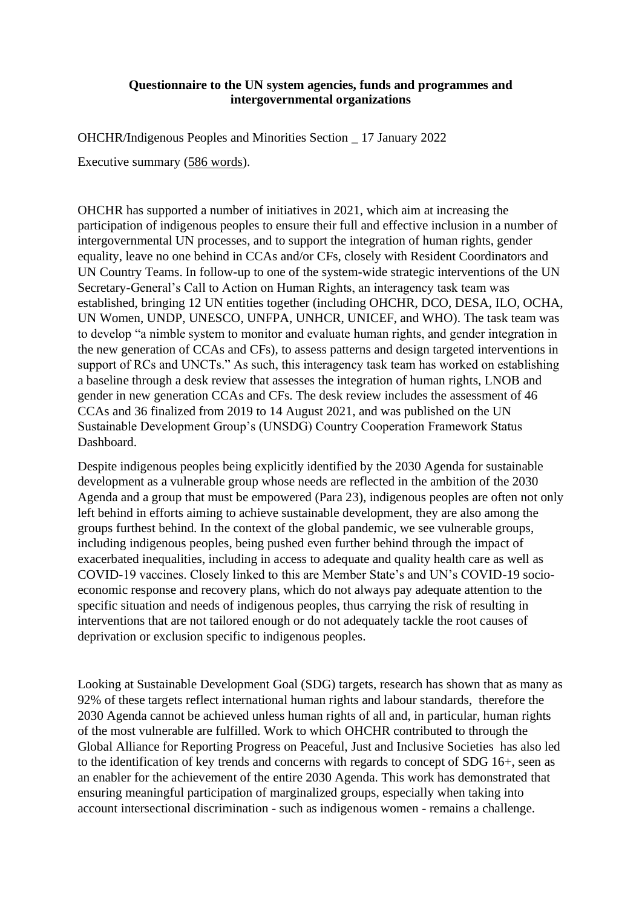## **Questionnaire to the UN system agencies, funds and programmes and intergovernmental organizations**

OHCHR/Indigenous Peoples and Minorities Section \_ 17 January 2022

Executive summary (586 words).

OHCHR has supported a number of initiatives in 2021, which aim at increasing the participation of indigenous peoples to ensure their full and effective inclusion in a number of intergovernmental UN processes, and to support the integration of human rights, gender equality, leave no one behind in CCAs and/or CFs, closely with Resident Coordinators and UN Country Teams. In follow-up to one of the system-wide strategic interventions of the UN Secretary-General's Call to Action on Human Rights, an interagency task team was established, bringing 12 UN entities together (including OHCHR, DCO, DESA, ILO, OCHA, UN Women, UNDP, UNESCO, UNFPA, UNHCR, UNICEF, and WHO). The task team was to develop "a nimble system to monitor and evaluate human rights, and gender integration in the new generation of CCAs and CFs), to assess patterns and design targeted interventions in support of RCs and UNCTs." As such, this interagency task team has worked on establishing a baseline through a desk review that assesses the integration of human rights, LNOB and gender in new generation CCAs and CFs. The desk review includes the assessment of 46 CCAs and 36 finalized from 2019 to 14 August 2021, and was published on the UN Sustainable Development Group's (UNSDG) Country Cooperation Framework Status Dashboard.

Despite indigenous peoples being explicitly identified by the 2030 Agenda for sustainable development as a vulnerable group whose needs are reflected in the ambition of the 2030 Agenda and a group that must be empowered (Para 23), indigenous peoples are often not only left behind in efforts aiming to achieve sustainable development, they are also among the groups furthest behind. In the context of the global pandemic, we see vulnerable groups, including indigenous peoples, being pushed even further behind through the impact of exacerbated inequalities, including in access to adequate and quality health care as well as COVID-19 vaccines. Closely linked to this are Member State's and UN's COVID-19 socioeconomic response and recovery plans, which do not always pay adequate attention to the specific situation and needs of indigenous peoples, thus carrying the risk of resulting in interventions that are not tailored enough or do not adequately tackle the root causes of deprivation or exclusion specific to indigenous peoples.

Looking at Sustainable Development Goal (SDG) targets, research has shown that as many as 92% of these targets reflect international human rights and labour standards, therefore the 2030 Agenda cannot be achieved unless human rights of all and, in particular, human rights of the most vulnerable are fulfilled. Work to which OHCHR contributed to through the Global Alliance for Reporting Progress on Peaceful, Just and Inclusive Societies has also led to the identification of key trends and concerns with regards to concept of SDG 16+, seen as an enabler for the achievement of the entire 2030 Agenda. This work has demonstrated that ensuring meaningful participation of marginalized groups, especially when taking into account intersectional discrimination - such as indigenous women - remains a challenge.